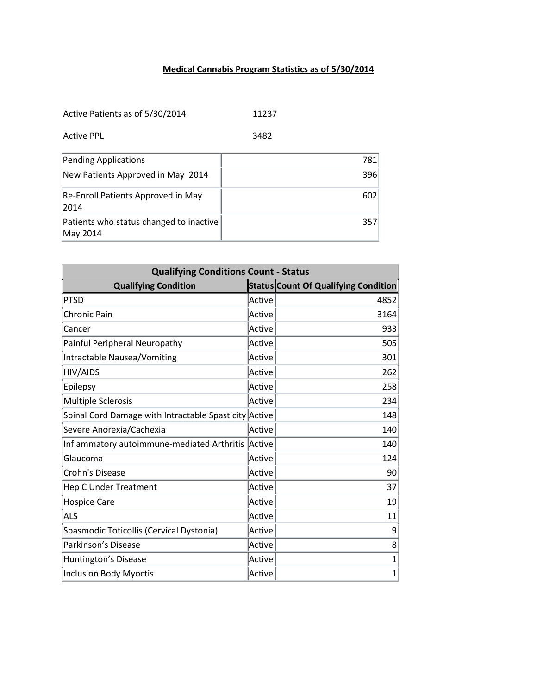## **Medical Cannabis Program Statistics as of 5/30/2014**

Active Patients as of 5/30/2014 11237

Active PPL 3482

| Pending Applications                                | 781 |
|-----------------------------------------------------|-----|
| New Patients Approved in May 2014                   | 396 |
| Re-Enroll Patients Approved in May<br>2014          | 602 |
| Patients who status changed to inactive<br>May 2014 | 357 |

| <b>Qualifying Conditions Count - Status</b>           |        |                                             |  |
|-------------------------------------------------------|--------|---------------------------------------------|--|
| <b>Qualifying Condition</b>                           |        | <b>Status Count Of Qualifying Condition</b> |  |
| <b>PTSD</b>                                           | Active | 4852                                        |  |
| <b>Chronic Pain</b>                                   | Active | 3164                                        |  |
| Cancer                                                | Active | 933                                         |  |
| Painful Peripheral Neuropathy                         | Active | 505                                         |  |
| Intractable Nausea/Vomiting                           | Active | 301                                         |  |
| <b>HIV/AIDS</b>                                       | Active | 262                                         |  |
| Epilepsy                                              | Active | 258                                         |  |
| <b>Multiple Sclerosis</b>                             | Active | 234                                         |  |
| Spinal Cord Damage with Intractable Spasticity Active |        | 148                                         |  |
| Severe Anorexia/Cachexia                              | Active | 140                                         |  |
| Inflammatory autoimmune-mediated Arthritis            | Active | 140                                         |  |
| Glaucoma                                              | Active | 124                                         |  |
| <b>Crohn's Disease</b>                                | Active | 90                                          |  |
| <b>Hep C Under Treatment</b>                          | Active | 37                                          |  |
| <b>Hospice Care</b>                                   | Active | 19                                          |  |
| <b>ALS</b>                                            | Active | 11                                          |  |
| Spasmodic Toticollis (Cervical Dystonia)              | Active | 9                                           |  |
| Parkinson's Disease                                   | Active | 8                                           |  |
| Huntington's Disease                                  | Active | $\mathbf 1$                                 |  |
| <b>Inclusion Body Myoctis</b>                         | Active | $\mathbf{1}$                                |  |